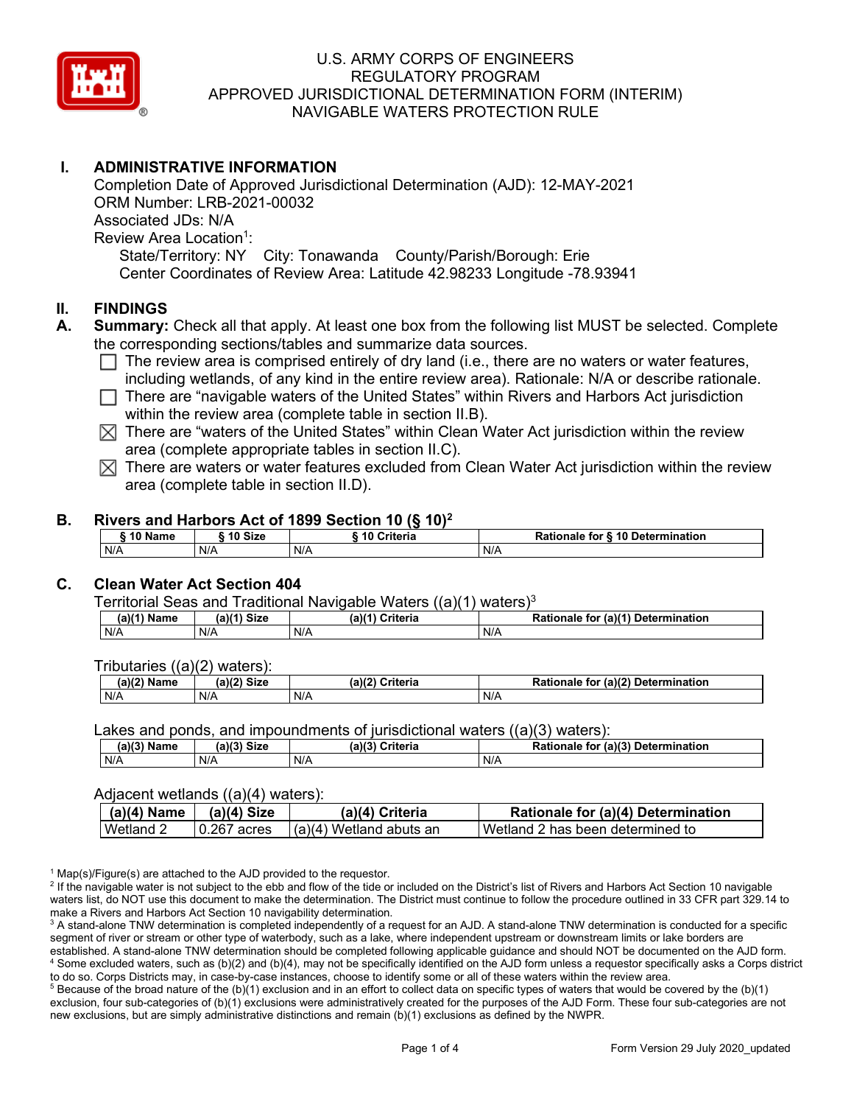

# **I. ADMINISTRATIVE INFORMATION**

Completion Date of Approved Jurisdictional Determination (AJD): 12-MAY-2021 ORM Number: LRB-2021-00032 Associated JDs: N/A Review Area Location<sup>1</sup>: State/Territory: NY City: Tonawanda County/Parish/Borough: Erie Center Coordinates of Review Area: Latitude 42.98233 Longitude -78.93941

### **II. FINDINGS**

- **A. Summary:** Check all that apply. At least one box from the following list MUST be selected. Complete the corresponding sections/tables and summarize data sources.
	- $\Box$  The review area is comprised entirely of dry land (i.e., there are no waters or water features, including wetlands, of any kind in the entire review area). Rationale: N/A or describe rationale.
	- $\Box$  There are "navigable waters of the United States" within Rivers and Harbors Act jurisdiction within the review area (complete table in section II.B).
	- $\boxtimes$  There are "waters of the United States" within Clean Water Act jurisdiction within the review area (complete appropriate tables in section II.C).
	- $\boxtimes$  There are waters or water features excluded from Clean Water Act jurisdiction within the review area (complete table in section II.D).

#### **B. Rivers and Harbors Act of 1899 Section 10 (§ 10)2**

|     | ົ 10 Name |     | ົ 10 Size | Criteria<br>. 1 U |     | Rationale for § 10 Determination |
|-----|-----------|-----|-----------|-------------------|-----|----------------------------------|
| N/A |           | N/A |           | N/A               | N/A |                                  |

# **C. Clean Water Act Section 404**

Territorial Seas and Traditional Navigable Waters  $((a)(1)$  waters)<sup>3</sup>

| $(a)(1)$ $^{\prime\prime}$<br>Name | $(a)$ $(1)$<br>Size | $(a)$ $(4)$<br>Criteria | (a)(1) Determination<br>Rationale<br>for |
|------------------------------------|---------------------|-------------------------|------------------------------------------|
| N/A                                | N/A                 | N/A                     | N/A                                      |

Tributaries ((a)(2) waters):

| $\mathbf{1}$<br>ame | a)(2)<br>$\sim$ Given<br>эızе | (a)/2<br>Criteria | (a)(2)<br><b>Determination</b><br>tor<br>onale |
|---------------------|-------------------------------|-------------------|------------------------------------------------|
| N/A                 | N/A                           | N/A               | N/A                                            |

Lakes and ponds, and impoundments of jurisdictional waters ((a)(3) waters):

| <b>Name</b> | <b>Size</b><br>$(a)$ $(2)$ | -1191<br>Criteria<br>ເaກເ. | (a)(3) Determination<br>Rationale<br>for |
|-------------|----------------------------|----------------------------|------------------------------------------|
| N/A         | N/A                        | N/A                        | N/A                                      |

#### Adjacent wetlands ((a)(4) waters):

| $(a)(4)$ Name | $(a)(4)$ Size | (a)(4) Criteria           | Rationale for (a)(4) Determination |
|---------------|---------------|---------------------------|------------------------------------|
| Wetland 2     | 10.267 acres  | I (a)(4) Wetland abuts an | Wetland 2 has been determined to   |

 $1$  Map(s)/Figure(s) are attached to the AJD provided to the requestor.

<sup>2</sup> If the navigable water is not subject to the ebb and flow of the tide or included on the District's list of Rivers and Harbors Act Section 10 navigable waters list, do NOT use this document to make the determination. The District must continue to follow the procedure outlined in 33 CFR part 329.14 to make a Rivers and Harbors Act Section 10 navigability determination.

<sup>3</sup> A stand-alone TNW determination is completed independently of a request for an AJD. A stand-alone TNW determination is conducted for a specific segment of river or stream or other type of waterbody, such as a lake, where independent upstream or downstream limits or lake borders are established. A stand-alone TNW determination should be completed following applicable guidance and should NOT be documented on the AJD form. <sup>4</sup> Some excluded waters, such as (b)(2) and (b)(4), may not be specifically identified on the AJD form unless a requestor specifically asks a Corps district to do so. Corps Districts may, in case-by-case instances, choose to identify some or all of these waters within the review area.

 $5$  Because of the broad nature of the (b)(1) exclusion and in an effort to collect data on specific types of waters that would be covered by the (b)(1) exclusion, four sub-categories of (b)(1) exclusions were administratively created for the purposes of the AJD Form. These four sub-categories are not new exclusions, but are simply administrative distinctions and remain (b)(1) exclusions as defined by the NWPR.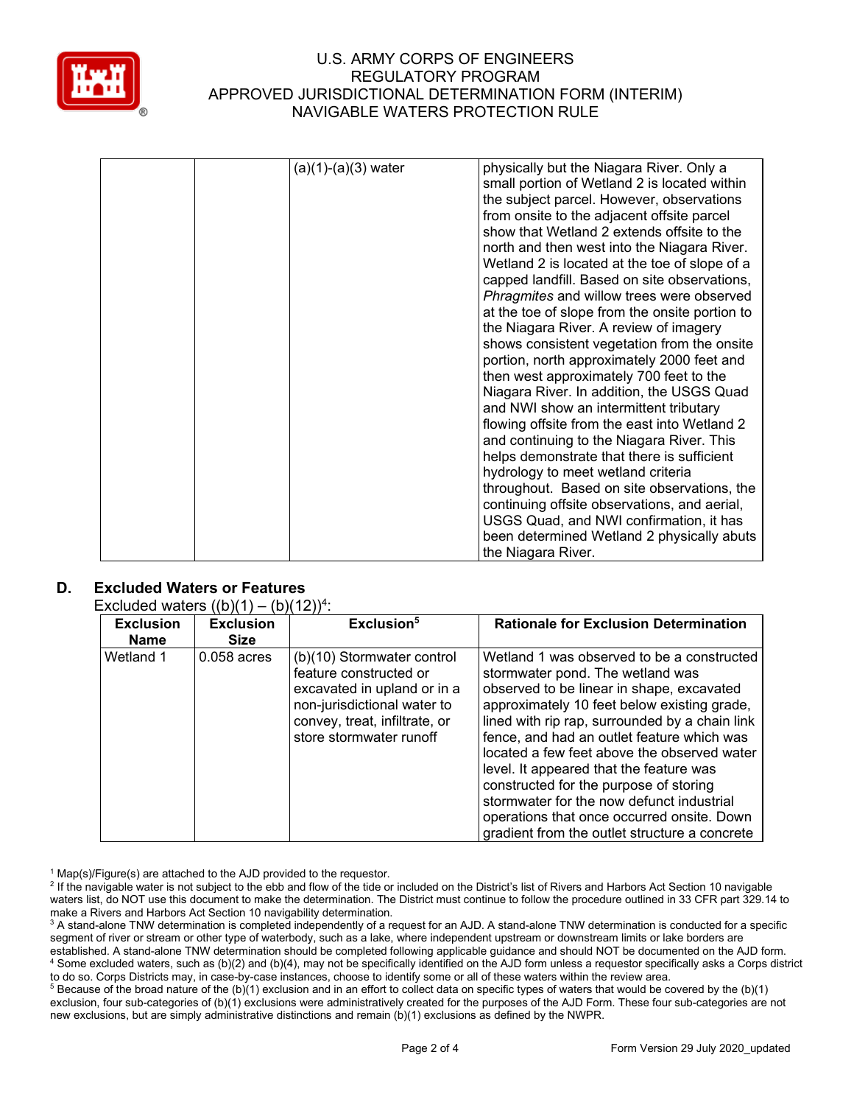

| $(a)(1)-(a)(3)$ water | physically but the Niagara River. Only a<br>small portion of Wetland 2 is located within<br>the subject parcel. However, observations<br>from onsite to the adjacent offsite parcel<br>show that Wetland 2 extends offsite to the<br>north and then west into the Niagara River.<br>Wetland 2 is located at the toe of slope of a<br>capped landfill. Based on site observations,<br>Phragmites and willow trees were observed<br>at the toe of slope from the onsite portion to<br>the Niagara River. A review of imagery<br>shows consistent vegetation from the onsite<br>portion, north approximately 2000 feet and<br>then west approximately 700 feet to the<br>Niagara River. In addition, the USGS Quad<br>and NWI show an intermittent tributary<br>flowing offsite from the east into Wetland 2 |
|-----------------------|-----------------------------------------------------------------------------------------------------------------------------------------------------------------------------------------------------------------------------------------------------------------------------------------------------------------------------------------------------------------------------------------------------------------------------------------------------------------------------------------------------------------------------------------------------------------------------------------------------------------------------------------------------------------------------------------------------------------------------------------------------------------------------------------------------------|
|                       | and continuing to the Niagara River. This<br>helps demonstrate that there is sufficient<br>hydrology to meet wetland criteria                                                                                                                                                                                                                                                                                                                                                                                                                                                                                                                                                                                                                                                                             |
|                       | throughout. Based on site observations, the<br>continuing offsite observations, and aerial,<br>USGS Quad, and NWI confirmation, it has<br>been determined Wetland 2 physically abuts                                                                                                                                                                                                                                                                                                                                                                                                                                                                                                                                                                                                                      |
|                       | the Niagara River.                                                                                                                                                                                                                                                                                                                                                                                                                                                                                                                                                                                                                                                                                                                                                                                        |

# **D. Excluded Waters or Features**

Excluded waters  $((b)(1) - (b)(12))^4$ :

| <b>Exclusion</b><br>Name | <b>Exclusion</b><br><b>Size</b> | Exclusion <sup>5</sup>                                                                                                                                                         | <b>Rationale for Exclusion Determination</b>                                                                                                                                                                                                                                                                                                                                                                                                                                                                                                               |
|--------------------------|---------------------------------|--------------------------------------------------------------------------------------------------------------------------------------------------------------------------------|------------------------------------------------------------------------------------------------------------------------------------------------------------------------------------------------------------------------------------------------------------------------------------------------------------------------------------------------------------------------------------------------------------------------------------------------------------------------------------------------------------------------------------------------------------|
| Wetland 1                | $0.058$ acres                   | (b)(10) Stormwater control<br>feature constructed or<br>excavated in upland or in a<br>non-jurisdictional water to<br>convey, treat, infiltrate, or<br>store stormwater runoff | Wetland 1 was observed to be a constructed<br>stormwater pond. The wetland was<br>observed to be linear in shape, excavated<br>approximately 10 feet below existing grade,<br>lined with rip rap, surrounded by a chain link<br>fence, and had an outlet feature which was<br>located a few feet above the observed water<br>level. It appeared that the feature was<br>constructed for the purpose of storing<br>stormwater for the now defunct industrial<br>operations that once occurred onsite. Down<br>gradient from the outlet structure a concrete |

 $1$  Map(s)/Figure(s) are attached to the AJD provided to the requestor.

<sup>5</sup> Because of the broad nature of the (b)(1) exclusion and in an effort to collect data on specific types of waters that would be covered by the (b)(1) exclusion, four sub-categories of (b)(1) exclusions were administratively created for the purposes of the AJD Form. These four sub-categories are not new exclusions, but are simply administrative distinctions and remain (b)(1) exclusions as defined by the NWPR.

<sup>&</sup>lt;sup>2</sup> If the navigable water is not subject to the ebb and flow of the tide or included on the District's list of Rivers and Harbors Act Section 10 navigable waters list, do NOT use this document to make the determination. The District must continue to follow the procedure outlined in 33 CFR part 329.14 to make a Rivers and Harbors Act Section 10 navigability determination.

<sup>&</sup>lt;sup>3</sup> A stand-alone TNW determination is completed independently of a request for an AJD. A stand-alone TNW determination is conducted for a specific segment of river or stream or other type of waterbody, such as a lake, where independent upstream or downstream limits or lake borders are established. A stand-alone TNW determination should be completed following applicable guidance and should NOT be documented on the AJD form. <sup>4</sup> Some excluded waters, such as (b)(2) and (b)(4), may not be specifically identified on the AJD form unless a requestor specifically asks a Corps district to do so. Corps Districts may, in case-by-case instances, choose to identify some or all of these waters within the review area.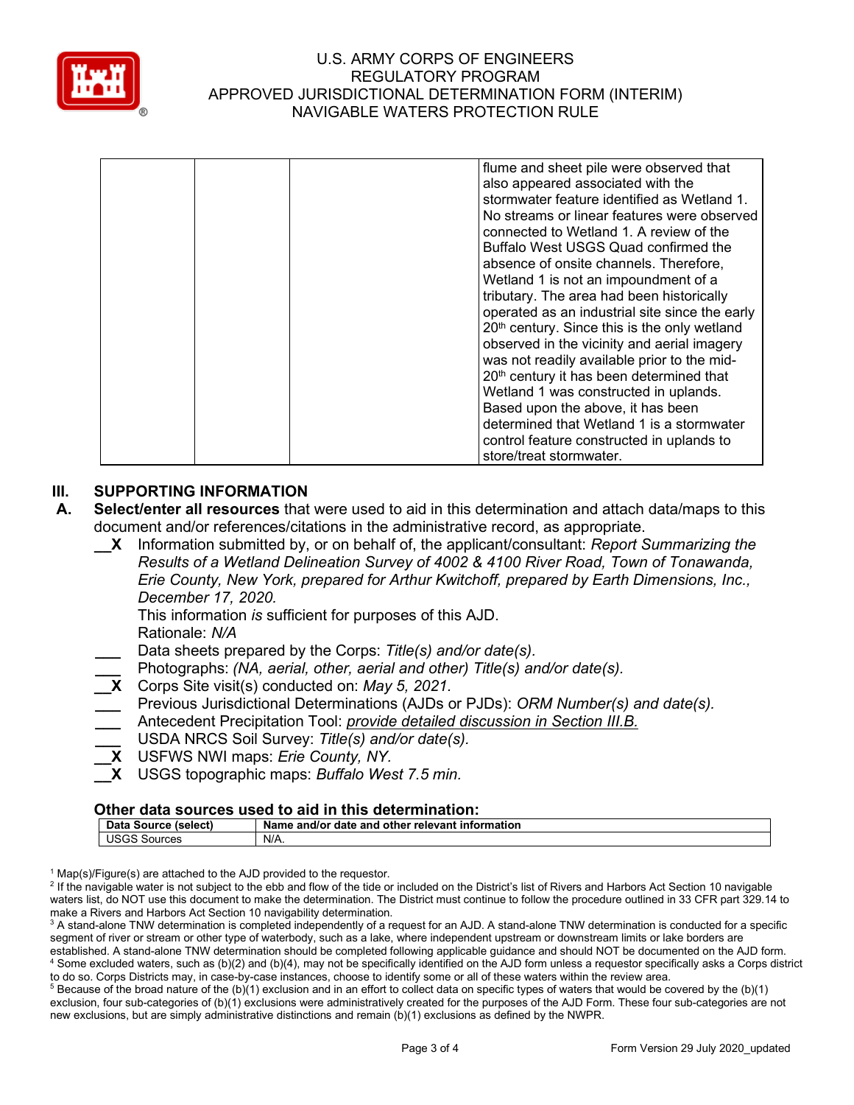

|  | flume and sheet pile were observed that<br>also appeared associated with the<br>stormwater feature identified as Wetland 1.<br>No streams or linear features were observed<br>connected to Wetland 1. A review of the<br>Buffalo West USGS Quad confirmed the<br>absence of onsite channels. Therefore,<br>Wetland 1 is not an impoundment of a<br>tributary. The area had been historically<br>operated as an industrial site since the early<br>20th century. Since this is the only wetland<br>observed in the vicinity and aerial imagery<br>was not readily available prior to the mid-<br>20 <sup>th</sup> century it has been determined that<br>Wetland 1 was constructed in uplands.<br>Based upon the above, it has been<br>determined that Wetland 1 is a stormwater<br>control feature constructed in uplands to<br>store/treat stormwater. |
|--|---------------------------------------------------------------------------------------------------------------------------------------------------------------------------------------------------------------------------------------------------------------------------------------------------------------------------------------------------------------------------------------------------------------------------------------------------------------------------------------------------------------------------------------------------------------------------------------------------------------------------------------------------------------------------------------------------------------------------------------------------------------------------------------------------------------------------------------------------------|
|--|---------------------------------------------------------------------------------------------------------------------------------------------------------------------------------------------------------------------------------------------------------------------------------------------------------------------------------------------------------------------------------------------------------------------------------------------------------------------------------------------------------------------------------------------------------------------------------------------------------------------------------------------------------------------------------------------------------------------------------------------------------------------------------------------------------------------------------------------------------|

# **III. SUPPORTING INFORMATION**

- **A. Select/enter all resources** that were used to aid in this determination and attach data/maps to this document and/or references/citations in the administrative record, as appropriate.
	- **\_\_X** Information submitted by, or on behalf of, the applicant/consultant: *Report Summarizing the Results of a Wetland Delineation Survey of 4002 & 4100 River Road, Town of Tonawanda, Erie County, New York, prepared for Arthur Kwitchoff, prepared by Earth Dimensions, Inc., December 17, 2020.*

This information *is* sufficient for purposes of this AJD.

Rationale: *N/A*

- **\_\_\_** Data sheets prepared by the Corps: *Title(s) and/or date(s).*
- **\_\_\_** Photographs: *(NA, aerial, other, aerial and other) Title(s) and/or date(s).*
- **\_\_X** Corps Site visit(s) conducted on: *May 5, 2021.*
- **\_\_\_** Previous Jurisdictional Determinations (AJDs or PJDs): *ORM Number(s) and date(s).*
- **\_\_\_** Antecedent Precipitation Tool: *provide detailed discussion in Section III.B.*
- **\_\_\_** USDA NRCS Soil Survey: *Title(s) and/or date(s).*
- **\_\_X** USFWS NWI maps: *Erie County, NY.*
- **\_\_X** USGS topographic maps: *Buffalo West 7.5 min.*

#### **Other data sources used to aid in this determination:**

| Data<br>(select)<br>∟Source | Name<br>l other relevant information<br>and<br>and/or<br>date |
|-----------------------------|---------------------------------------------------------------|
| ۱۱۴ ص<br>Sources<br>uouo    | N/A                                                           |

 $1$  Map(s)/Figure(s) are attached to the AJD provided to the requestor.

<sup>2</sup> If the navigable water is not subject to the ebb and flow of the tide or included on the District's list of Rivers and Harbors Act Section 10 navigable waters list, do NOT use this document to make the determination. The District must continue to follow the procedure outlined in 33 CFR part 329.14 to make a Rivers and Harbors Act Section 10 navigability determination.

<sup>3</sup> A stand-alone TNW determination is completed independently of a request for an AJD. A stand-alone TNW determination is conducted for a specific segment of river or stream or other type of waterbody, such as a lake, where independent upstream or downstream limits or lake borders are established. A stand-alone TNW determination should be completed following applicable guidance and should NOT be documented on the AJD form. <sup>4</sup> Some excluded waters, such as (b)(2) and (b)(4), may not be specifically identified on the AJD form unless a requestor specifically asks a Corps district to do so. Corps Districts may, in case-by-case instances, choose to identify some or all of these waters within the review area.

 $5$  Because of the broad nature of the (b)(1) exclusion and in an effort to collect data on specific types of waters that would be covered by the (b)(1) exclusion, four sub-categories of (b)(1) exclusions were administratively created for the purposes of the AJD Form. These four sub-categories are not new exclusions, but are simply administrative distinctions and remain (b)(1) exclusions as defined by the NWPR.